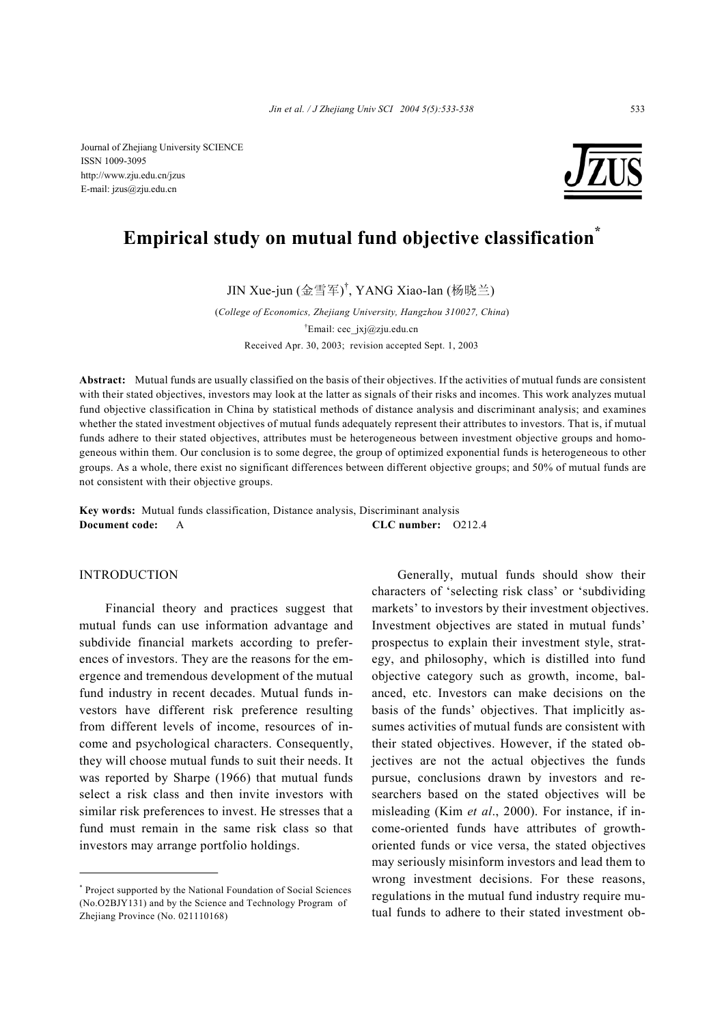Journal of Zhejiang University SCIENCE ISSN 1009-3095 http://www.zju.edu.cn/jzus E-mail: jzus@zju.edu.cn



# **Empirical study on mutual fund objective classification\***

JIN Xue-jun (金雪军) † , YANG Xiao-lan (杨晓兰)

(*College of Economics, Zhejiang University, Hangzhou 310027, China*) † Email: cec\_jxj@zju.edu.cn Received Apr. 30, 2003; revision accepted Sept. 1, 2003

**Abstract:** Mutual funds are usually classified on the basis of their objectives. If the activities of mutual funds are consistent with their stated objectives, investors may look at the latter as signals of their risks and incomes. This work analyzes mutual fund objective classification in China by statistical methods of distance analysis and discriminant analysis; and examines whether the stated investment objectives of mutual funds adequately represent their attributes to investors. That is, if mutual funds adhere to their stated objectives, attributes must be heterogeneous between investment objective groups and homogeneous within them. Our conclusion is to some degree, the group of optimized exponential funds is heterogeneous to other groups. As a whole, there exist no significant differences between different objective groups; and 50% of mutual funds are not consistent with their objective groups.

**Key words:** Mutual funds classification, Distance analysis, Discriminant analysis **Document code:** A **CLC number:** O212.4

## INTRODUCTION

Financial theory and practices suggest that mutual funds can use information advantage and subdivide financial markets according to preferences of investors. They are the reasons for the emergence and tremendous development of the mutual fund industry in recent decades. Mutual funds investors have different risk preference resulting from different levels of income, resources of income and psychological characters. Consequently, they will choose mutual funds to suit their needs. It was reported by Sharpe (1966) that mutual funds select a risk class and then invite investors with similar risk preferences to invest. He stresses that a fund must remain in the same risk class so that investors may arrange portfolio holdings.

Generally, mutual funds should show their characters of 'selecting risk class' or 'subdividing markets' to investors by their investment objectives. Investment objectives are stated in mutual funds' prospectus to explain their investment style, strategy, and philosophy, which is distilled into fund objective category such as growth, income, balanced, etc. Investors can make decisions on the basis of the funds' objectives. That implicitly assumes activities of mutual funds are consistent with their stated objectives. However, if the stated objectives are not the actual objectives the funds pursue, conclusions drawn by investors and researchers based on the stated objectives will be misleading (Kim *et al*., 2000). For instance, if income-oriented funds have attributes of growthoriented funds or vice versa, the stated objectives may seriously misinform investors and lead them to wrong investment decisions. For these reasons, regulations in the mutual fund industry require mutual funds to adhere to their stated investment ob-

<sup>\*</sup> Project supported by the National Foundation of Social Sciences (No.O2BJY131) and by the Science and Technology Program of Zheijang Province (No. 021110168)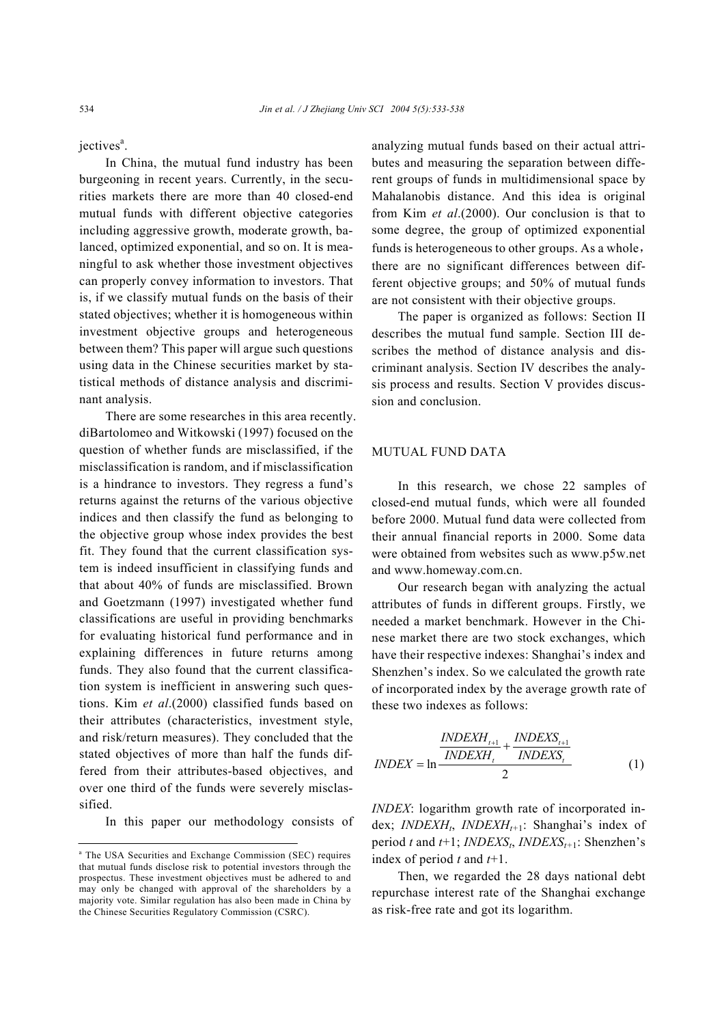jectives<sup>a</sup>.

In China, the mutual fund industry has been burgeoning in recent years. Currently, in the securities markets there are more than 40 closed-end mutual funds with different objective categories including aggressive growth, moderate growth, balanced, optimized exponential, and so on. It is meaningful to ask whether those investment objectives can properly convey information to investors. That is, if we classify mutual funds on the basis of their stated objectives; whether it is homogeneous within investment objective groups and heterogeneous between them? This paper will argue such questions using data in the Chinese securities market by statistical methods of distance analysis and discriminant analysis.

There are some researches in this area recently. diBartolomeo and Witkowski (1997) focused on the question of whether funds are misclassified, if the misclassification is random, and if misclassification is a hindrance to investors. They regress a fund's returns against the returns of the various objective indices and then classify the fund as belonging to the objective group whose index provides the best fit. They found that the current classification system is indeed insufficient in classifying funds and that about 40% of funds are misclassified. Brown and Goetzmann (1997) investigated whether fund classifications are useful in providing benchmarks for evaluating historical fund performance and in explaining differences in future returns among funds. They also found that the current classification system is inefficient in answering such questions. Kim *et al*.(2000) classified funds based on their attributes (characteristics, investment style, and risk/return measures). They concluded that the stated objectives of more than half the funds differed from their attributes-based objectives, and over one third of the funds were severely misclassified.

In this paper our methodology consists of

analyzing mutual funds based on their actual attributes and measuring the separation between different groups of funds in multidimensional space by Mahalanobis distance. And this idea is original from Kim *et al*.(2000). Our conclusion is that to some degree, the group of optimized exponential funds is heterogeneous to other groups. As a whole, there are no significant differences between different objective groups; and 50% of mutual funds are not consistent with their objective groups.

The paper is organized as follows: Section II describes the mutual fund sample. Section III describes the method of distance analysis and discriminant analysis. Section IV describes the analysis process and results. Section V provides discussion and conclusion.

# MUTUAL FUND DATA

In this research, we chose 22 samples of closed-end mutual funds, which were all founded before 2000. Mutual fund data were collected from their annual financial reports in 2000. Some data were obtained from websites such as www.p5w.net and www.homeway.com.cn.

Our research began with analyzing the actual attributes of funds in different groups. Firstly, we needed a market benchmark. However in the Chinese market there are two stock exchanges, which have their respective indexes: Shanghai's index and Shenzhen's index. So we calculated the growth rate of incorporated index by the average growth rate of these two indexes as follows:

$$
INDEX = \ln \frac{INDEXH_{t+1}}{INDEXH_t} + \frac{INDEXS_{t+1}}{INDEXS_t}
$$
\n(1)

*INDEX*: logarithm growth rate of incorporated index; *INDEXH<sub>t</sub>*, *INDEXH<sub>t+1</sub>*: Shanghai's index of period t and  $t+1$ ; *INDEXS*<sub>t</sub>, *INDEXS*<sub>t+1</sub>: Shenzhen's index of period *t* and *t*+1.

Then, we regarded the 28 days national debt repurchase interest rate of the Shanghai exchange as risk-free rate and got its logarithm.

<sup>a</sup> The USA Securities and Exchange Commission (SEC) requires that mutual funds disclose risk to potential investors through the prospectus. These investment objectives must be adhered to and may only be changed with approval of the shareholders by a majority vote. Similar regulation has also been made in China by the Chinese Securities Regulatory Commission (CSRC).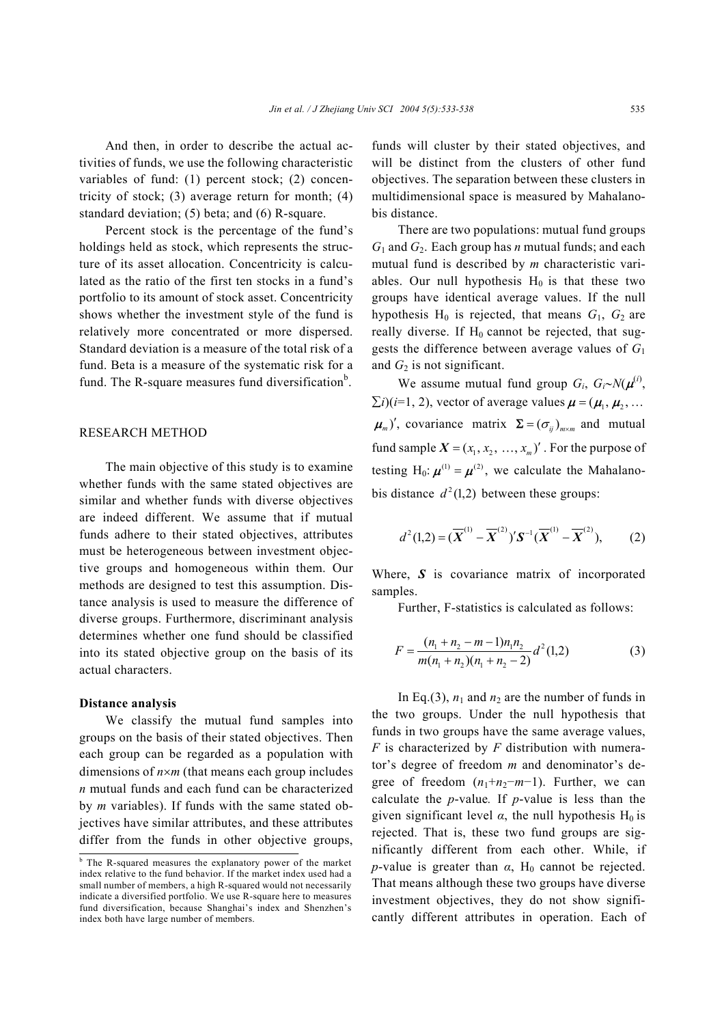And then, in order to describe the actual activities of funds, we use the following characteristic variables of fund: (1) percent stock; (2) concentricity of stock; (3) average return for month; (4) standard deviation; (5) beta; and (6) R-square.

Percent stock is the percentage of the fund's holdings held as stock, which represents the structure of its asset allocation. Concentricity is calculated as the ratio of the first ten stocks in a fund's portfolio to its amount of stock asset. Concentricity shows whether the investment style of the fund is relatively more concentrated or more dispersed. Standard deviation is a measure of the total risk of a fund. Beta is a measure of the systematic risk for a fund. The R-square measures fund diversification<sup>b</sup>.

# RESEARCH METHOD

The main objective of this study is to examine whether funds with the same stated objectives are similar and whether funds with diverse objectives are indeed different. We assume that if mutual funds adhere to their stated objectives, attributes must be heterogeneous between investment objective groups and homogeneous within them. Our methods are designed to test this assumption. Distance analysis is used to measure the difference of diverse groups. Furthermore, discriminant analysis determines whether one fund should be classified into its stated objective group on the basis of its actual characters.

#### **Distance analysis**

We classify the mutual fund samples into groups on the basis of their stated objectives. Then each group can be regarded as a population with dimensions of *n*×*m* (that means each group includes *n* mutual funds and each fund can be characterized by *m* variables). If funds with the same stated objectives have similar attributes, and these attributes differ from the funds in other objective groups,

funds will cluster by their stated objectives, and will be distinct from the clusters of other fund objectives. The separation between these clusters in multidimensional space is measured by Mahalanobis distance.

There are two populations: mutual fund groups  $G_1$  and  $G_2$ . Each group has *n* mutual funds; and each mutual fund is described by *m* characteristic variables. Our null hypothesis  $H_0$  is that these two groups have identical average values. If the null hypothesis  $H_0$  is rejected, that means  $G_1$ ,  $G_2$  are really diverse. If  $H_0$  cannot be rejected, that suggests the difference between average values of *G*<sup>1</sup> and  $G_2$  is not significant.

We assume mutual fund group  $G_i$ ,  $G_i \sim N(\mu^{(i)})$ ,  $\sum i(i=1, 2)$ , vector of average values  $\boldsymbol{\mu} = (\boldsymbol{\mu}_1, \boldsymbol{\mu}_2, \dots)$  $(\mu_m)'$ , covariance matrix  $\Sigma = (\sigma_{ij})_{m \times m}$  and mutual fund sample  $X = (x_1, x_2, \ldots, x_n)'$ . For the purpose of testing H<sub>0</sub>:  $\mu^{(1)} = \mu^{(2)}$ , we calculate the Mahalanobis distance  $d^2(1,2)$  between these groups:

$$
d^{2}(1,2)=(\overline{X}^{(1)}-\overline{X}^{(2)})'S^{-1}(\overline{X}^{(1)}-\overline{X}^{(2)}),
$$
 (2)

Where, *S* is covariance matrix of incorporated samples.

Further, F-statistics is calculated as follows:

$$
F = \frac{(n_1 + n_2 - m - 1)n_1 n_2}{m(n_1 + n_2)(n_1 + n_2 - 2)} d^2(1,2)
$$
 (3)

In Eq.(3),  $n_1$  and  $n_2$  are the number of funds in the two groups. Under the null hypothesis that funds in two groups have the same average values, *F* is characterized by *F* distribution with numerator's degree of freedom *m* and denominator's degree of freedom  $(n_1+n_2-m-1)$ . Further, we can calculate the *p*-value*.* If *p*-value is less than the given significant level  $\alpha$ , the null hypothesis H<sub>0</sub> is rejected. That is, these two fund groups are significantly different from each other. While, if *p*-value is greater than  $\alpha$ , H<sub>0</sub> cannot be rejected. That means although these two groups have diverse investment objectives, they do not show significantly different attributes in operation. Each of

<sup>&</sup>lt;sup>b</sup> The R-squared measures the explanatory power of the market index relative to the fund behavior. If the market index used had a small number of members, a high R-squared would not necessarily indicate a diversified portfolio. We use R-square here to measures fund diversification, because Shanghai's index and Shenzhen's index both have large number of members.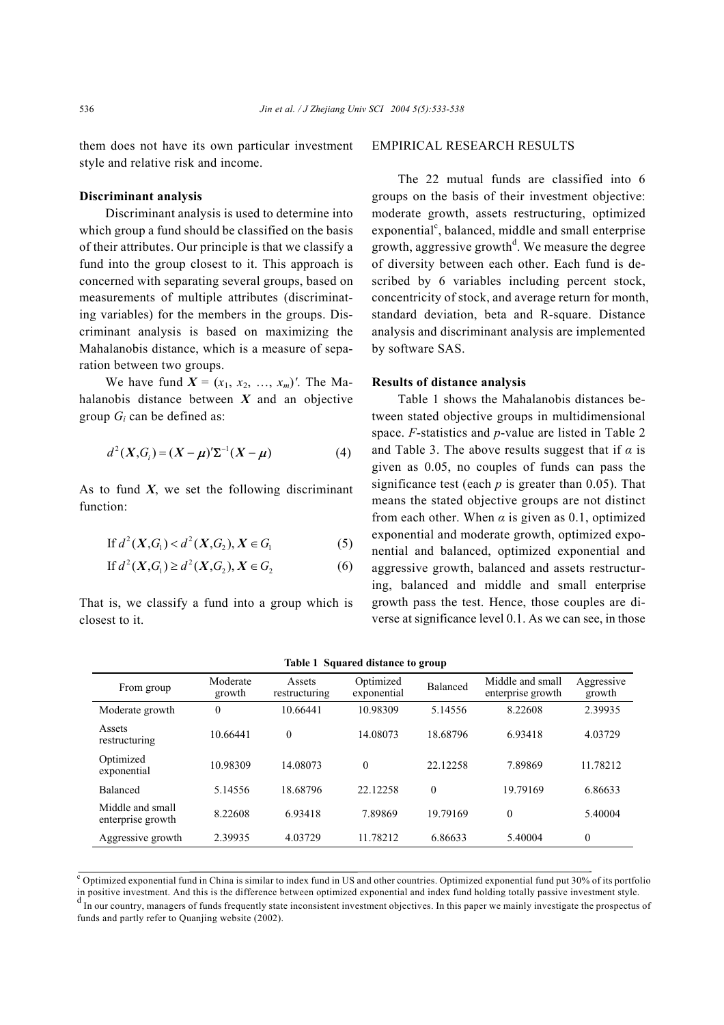them does not have its own particular investment style and relative risk and income.

#### **Discriminant analysis**

Discriminant analysis is used to determine into which group a fund should be classified on the basis of their attributes. Our principle is that we classify a fund into the group closest to it. This approach is concerned with separating several groups, based on measurements of multiple attributes (discriminating variables) for the members in the groups. Discriminant analysis is based on maximizing the Mahalanobis distance, which is a measure of separation between two groups.

We have fund  $X = (x_1, x_2, ..., x_m)'$ . The Mahalanobis distance between *X* and an objective group *Gi* can be defined as:

$$
d^{2}(X, G_{i}) = (X - \mu)' \Sigma^{-1} (X - \mu)
$$
 (4)

As to fund  $X$ , we set the following discriminant function:

If 
$$
d^2(X, G_1) < d^2(X, G_2), X \in G_1
$$
 (5)

If 
$$
d^2(X, G_1) \ge d^2(X, G_2), X \in G_2
$$
 (6)

That is, we classify a fund into a group which is closest to it.

## EMPIRICAL RESEARCH RESULTS

The 22 mutual funds are classified into 6 groups on the basis of their investment objective: moderate growth, assets restructuring, optimized  $exponential<sup>c</sup>$ , balanced, middle and small enterprise growth, aggressive growth<sup>d</sup>. We measure the degree of diversity between each other. Each fund is described by 6 variables including percent stock, concentricity of stock, and average return for month, standard deviation, beta and R-square. Distance analysis and discriminant analysis are implemented by software SAS.

## **Results of distance analysis**

Table 1 shows the Mahalanobis distances between stated objective groups in multidimensional space. *F*-statistics and *p*-value are listed in Table 2 and Table 3. The above results suggest that if  $\alpha$  is given as 0.05, no couples of funds can pass the significance test (each *p* is greater than 0.05). That means the stated objective groups are not distinct from each other. When  $\alpha$  is given as 0.1, optimized exponential and moderate growth, optimized exponential and balanced, optimized exponential and aggressive growth, balanced and assets restructuring, balanced and middle and small enterprise growth pass the test. Hence, those couples are diverse at significance level 0.1. As we can see, in those

| From group                            | Moderate<br>growth | Assets<br>restructuring | Optimized<br>exponential | <b>Balanced</b>  | Middle and small<br>enterprise growth | Aggressive<br>growth |
|---------------------------------------|--------------------|-------------------------|--------------------------|------------------|---------------------------------------|----------------------|
| Moderate growth                       | $\mathbf{0}$       | 10.66441                | 10.98309                 | 5.14556          | 8.22608                               | 2.39935              |
| Assets<br>restructuring               | 10.66441           | $\mathbf{0}$            | 14.08073                 | 18.68796         | 6.93418                               | 4.03729              |
| Optimized<br>exponential              | 10.98309           | 14.08073                | $\theta$                 | 22.12258         | 7.89869                               | 11.78212             |
| <b>Balanced</b>                       | 5.14556            | 18.68796                | 22.12258                 | $\boldsymbol{0}$ | 19.79169                              | 6.86633              |
| Middle and small<br>enterprise growth | 8.22608            | 6.93418                 | 7.89869                  | 19.79169         | $\mathbf{0}$                          | 5.40004              |
| Aggressive growth                     | 2.39935            | 4.03729                 | 11.78212                 | 6.86633          | 5.40004                               | $\theta$             |
|                                       |                    |                         |                          |                  |                                       |                      |

| Table 1 Squared distance to group |  |  |  |  |  |  |
|-----------------------------------|--|--|--|--|--|--|
|-----------------------------------|--|--|--|--|--|--|

 $c$  Optimized exponential fund in China is similar to index fund in US and other countries. Optimized exponential fund put 30% of its portfolio in positive investment. And this is the difference between optimized exponential and index fund holding totally passive investment style.

d In our country, managers of funds frequently state inconsistent investment objectives. In this paper we mainly investigate the prospectus of funds and partly refer to Quanjing website (2002).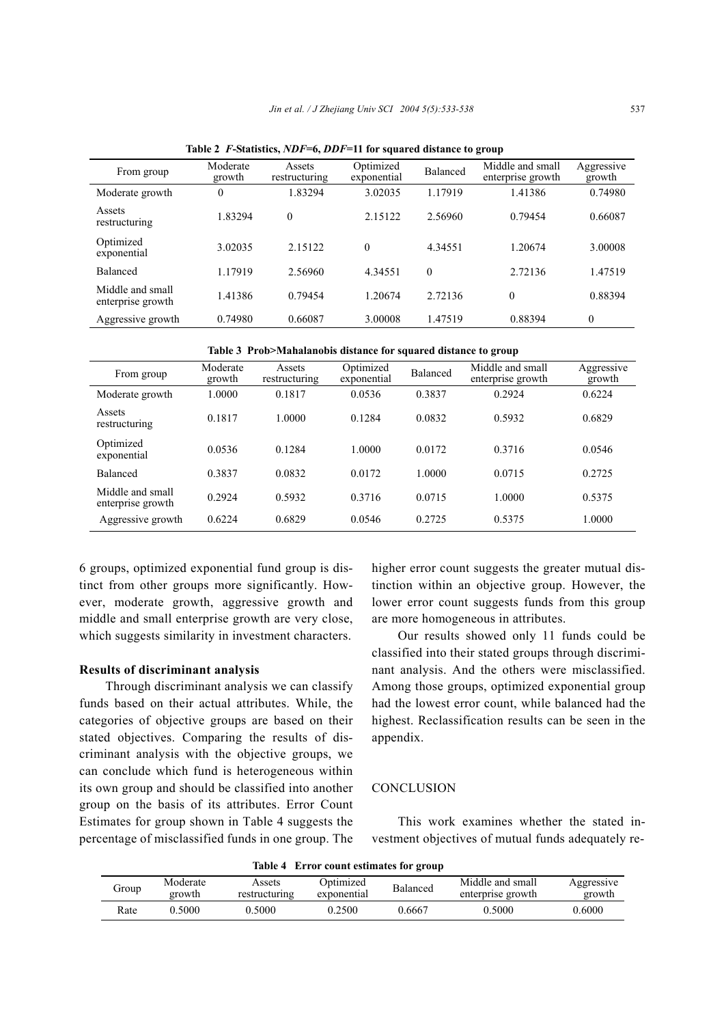| From group                            | Moderate<br>growth | Assets<br>restructuring | Optimized<br>exponential | Balanced | Middle and small<br>enterprise growth | Aggressive<br>growth |
|---------------------------------------|--------------------|-------------------------|--------------------------|----------|---------------------------------------|----------------------|
| Moderate growth                       | 0                  | 1.83294                 | 3.02035                  | 1.17919  | 1.41386                               | 0.74980              |
| Assets<br>restructuring               | 1.83294            | $\theta$                | 2.15122                  | 2.56960  | 0.79454                               | 0.66087              |
| Optimized<br>exponential              | 3.02035            | 2.15122                 | $\theta$                 | 4.34551  | 1.20674                               | 3.00008              |
| <b>Balanced</b>                       | 1.17919            | 2.56960                 | 4.34551                  | $\theta$ | 2.72136                               | 1.47519              |
| Middle and small<br>enterprise growth | 1.41386            | 0.79454                 | 1.20674                  | 2.72136  | $\theta$                              | 0.88394              |
| Aggressive growth                     | 0.74980            | 0.66087                 | 3.00008                  | 1.47519  | 0.88394                               | $\theta$             |

**Table 2** *F***-Statistics,** *NDF***=6,** *DDF***=11 for squared distance to group**

**Table 3 Prob>Mahalanobis distance for squared distance to group**

| From group                            | Moderate<br>growth | Assets<br>restructuring | Optimized<br>exponential | Balanced | Middle and small<br>enterprise growth | Aggressive<br>growth |
|---------------------------------------|--------------------|-------------------------|--------------------------|----------|---------------------------------------|----------------------|
| Moderate growth                       | .0000              | 0.1817                  | 0.0536                   | 0.3837   | 0.2924                                | 0.6224               |
| Assets<br>restructuring               | 0.1817             | 1.0000                  | 0.1284                   | 0.0832   | 0.5932                                | 0.6829               |
| Optimized<br>exponential              | 0.0536             | 0.1284                  | 1.0000                   | 0.0172   | 0.3716                                | 0.0546               |
| <b>Balanced</b>                       | 0.3837             | 0.0832                  | 0.0172                   | 1.0000   | 0.0715                                | 0.2725               |
| Middle and small<br>enterprise growth | 0.2924             | 0.5932                  | 0.3716                   | 0.0715   | 1.0000                                | 0.5375               |
| Aggressive growth                     | 0.6224             | 0.6829                  | 0.0546                   | 0.2725   | 0.5375                                | 1.0000               |

6 groups, optimized exponential fund group is distinct from other groups more significantly. However, moderate growth, aggressive growth and middle and small enterprise growth are very close, which suggests similarity in investment characters.

## **Results of discriminant analysis**

Through discriminant analysis we can classify funds based on their actual attributes. While, the categories of objective groups are based on their stated objectives. Comparing the results of discriminant analysis with the objective groups, we can conclude which fund is heterogeneous within its own group and should be classified into another group on the basis of its attributes. Error Count Estimates for group shown in Table 4 suggests the percentage of misclassified funds in one group. The higher error count suggests the greater mutual distinction within an objective group. However, the lower error count suggests funds from this group are more homogeneous in attributes.

Our results showed only 11 funds could be classified into their stated groups through discriminant analysis. And the others were misclassified. Among those groups, optimized exponential group had the lowest error count, while balanced had the highest. Reclassification results can be seen in the appendix.

## **CONCLUSION**

This work examines whether the stated investment objectives of mutual funds adequately re-

| Table 4 Error count estimates for group |                    |                         |                          |          |                                       |                      |  |
|-----------------------------------------|--------------------|-------------------------|--------------------------|----------|---------------------------------------|----------------------|--|
| Group                                   | Moderate<br>growth | Assets<br>restructuring | Optimized<br>exponential | Balanced | Middle and small<br>enterprise growth | Aggressive<br>growth |  |
| Rate                                    | 0.5000             | 0.5000                  | 0.2500                   | 0.6667   | 0.5000                                | 0.6000               |  |